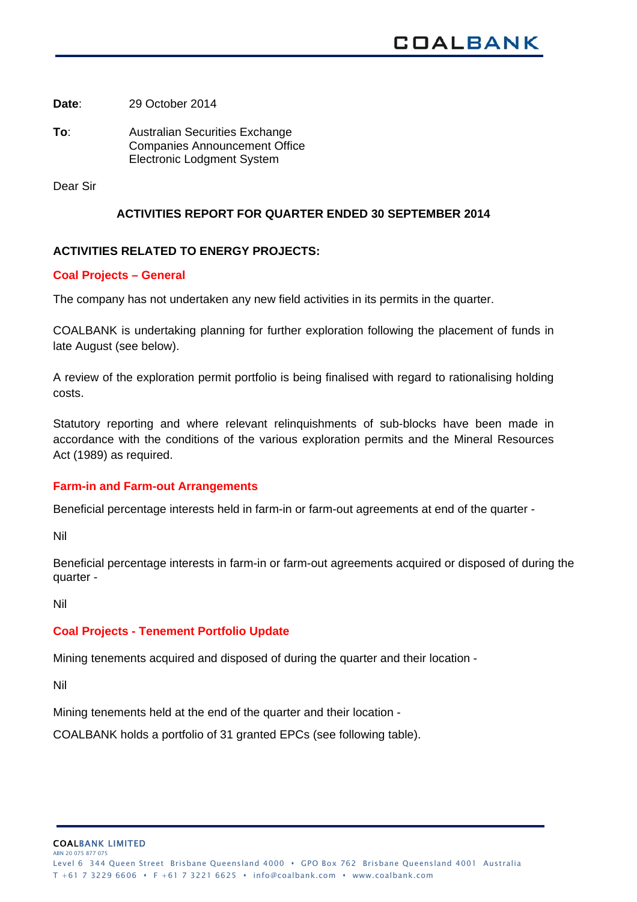**Date**: 29 October 2014

**To**: Australian Securities Exchange Companies Announcement Office Electronic Lodgment System

Dear Sir

### **ACTIVITIES REPORT FOR QUARTER ENDED 30 SEPTEMBER 2014**

## **ACTIVITIES RELATED TO ENERGY PROJECTS:**

#### **Coal Projects – General**

The company has not undertaken any new field activities in its permits in the quarter.

COALBANK is undertaking planning for further exploration following the placement of funds in late August (see below).

A review of the exploration permit portfolio is being finalised with regard to rationalising holding costs.

Statutory reporting and where relevant relinquishments of sub-blocks have been made in accordance with the conditions of the various exploration permits and the Mineral Resources Act (1989) as required.

### **Farm-in and Farm-out Arrangements**

Beneficial percentage interests held in farm-in or farm-out agreements at end of the quarter -

Nil

Beneficial percentage interests in farm-in or farm-out agreements acquired or disposed of during the quarter -

Nil

## **Coal Projects - Tenement Portfolio Update**

Mining tenements acquired and disposed of during the quarter and their location -

Nil

Mining tenements held at the end of the quarter and their location -

COALBANK holds a portfolio of 31 granted EPCs (see following table).

COALBANK LIMITED ABN 20 075 877 07